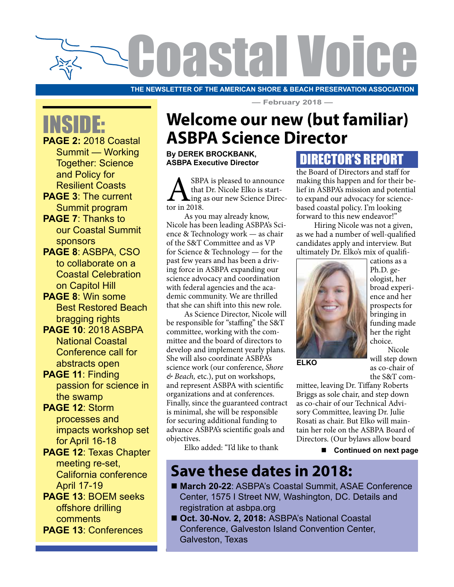

**THE NEWSLETTER OF THE AMERICAN SHORE & BEACH PRESERVATION ASSOCIATION**

INSIDE:

**PAGE 2:** 2018 Coastal Summit — Working Together: Science and Policy for Resilient Coasts

- **PAGE 3**: The current Summit program **PAGE 7**: Thanks to
- our Coastal Summit sponsors
- **PAGE 8**: ASBPA, CSO to collaborate on a Coastal Celebration on Capitol Hill
- **PAGE 8**: Win some Best Restored Beach bragging rights
- **PAGE 10**: 2018 ASBPA National Coastal Conference call for abstracts open
- **PAGE 11**: Finding passion for science in the swamp
- **PAGE 12**: Storm processes and impacts workshop set for April 16-18
- **PAGE 12**: Texas Chapter meeting re-set, California conference April 17-19
- **PAGE 13**: BOEM seeks offshore drilling comments **PAGE 13**: Conferences

## **Welcome our new (but familiar) ASBPA Science Director**

**— February 2018 —**

**By DEREK BROCKBANK, ASBPA Executive Director**

SBPA is pleased to announce<br>that Dr. Nicole Elko is start-<br>tor in 2018. that Dr. Nicole Elko is starting as our new Science Director in 2018.

As you may already know, Nicole has been leading ASBPA's Science & Technology work — as chair of the S&T Committee and as VP for Science & Technology — for the past few years and has been a driving force in ASBPA expanding our science advocacy and coordination with federal agencies and the academic community. We are thrilled that she can shift into this new role.

As Science Director, Nicole will be responsible for "staffing" the S&T committee, working with the committee and the board of directors to develop and implement yearly plans. She will also coordinate ASBPA's science work (our conference, *Shore & Beach,* etc.), put on workshops, and represent ASBPA with scientific organizations and at conferences. Finally, since the guaranteed contract is minimal, she will be responsible for securing additional funding to advance ASBPA's scientific goals and objectives.

### DIRECTOR'S REPORT

the Board of Directors and staff for making this happen and for their belief in ASBPA's mission and potential to expand our advocacy for sciencebased coastal policy. I'm looking forward to this new endeavor!"

Hiring Nicole was not a given, as we had a number of well-qualified candidates apply and interview. But ultimately Dr. Elko's mix of qualifi-



**ELKO**

cations as a Ph.D. geologist, her broad experience and her prospects for bringing in funding made her the right choice.

Nicole will step down as co-chair of the S&T com-

mittee, leaving Dr. Tiffany Roberts Briggs as sole chair, and step down as co-chair of our Technical Advisory Committee, leaving Dr. Julie Rosati as chair. But Elko will maintain her role on the ASBPA Board of Directors. (Our bylaws allow board

Elko added: "I'd like to thank

■ Continued on next page

### **Save these dates in 2018:**

- March 20-22: ASBPA's Coastal Summit, ASAE Conference Center, 1575 I Street NW, Washington, DC. Details and registration at asbpa.org
- Oct. 30-Nov. 2, 2018: ASBPA's National Coastal Conference, Galveston Island Convention Center, Galveston, Texas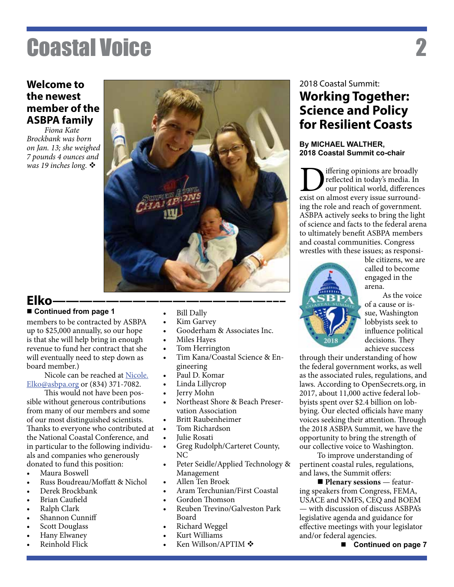#### **Welcome to the newest member of the ASBPA family**

*Fiona Kate Brockbank was born on Jan. 13; she weighed 7 pounds 4 ounces and was 19 inches long.* ❖



### **Elko————————————————–––**

members to be contracted by ASBPA up to \$25,000 annually, so our hope is that she will help bring in enough revenue to fund her contract that she will eventually need to step down as board member.)

Nicole can be reached at Nicole. Elko@asbpa.org or (834) 371-7082.

This would not have been possible without generous contributions from many of our members and some of our most distinguished scientists. Thanks to everyone who contributed at the National Coastal Conference, and in particular to the following individuals and companies who generously donated to fund this position:

- • Maura Boswell
- Russ Boudreau/Moffatt & Nichol
- Derek Brockbank
- **Brian Caufield**
- Ralph Clark
- Shannon Cunniff
- Scott Douglass
- Hany Elwaney
- Reinhold Flick
- Continued from page 1 **• Bill Dally** 
	- Kim Garvey
	- Gooderham & Associates Inc.
	- • Miles Hayes
	- Tom Herrington
	- Tim Kana/Coastal Science & Engineering
	- Paul D. Komar
	- Linda Lillycrop
	- Jerry Mohn
	- Northeast Shore & Beach Preservation Association
	- • Britt Raubenheimer
	- Tom Richardson
	- Julie Rosati
	- Greg Rudolph/Carteret County, NC
	- Peter Seidle/Applied Technology & Management
	- Allen Ten Broek
	- Aram Terchunian/First Coastal
	- Gordon Thomson
	- Reuben Trevino/Galveston Park Board
	- Richard Weggel
	- Kurt Williams
	- Ken Willson/APTIM  $\clubsuit$

#### 2018 Coastal Summit: **Working Together: Science and Policy for Resilient Coasts**

#### **By MICHAEL WALTHER, 2018 Coastal Summit co-chair**

**D**iffering opinions are broadly<br>reflected in today's media. In<br>exist on almost every issue surroundreflected in today's media. In our political world, differences ing the role and reach of government. ASBPA actively seeks to bring the light of science and facts to the federal arena to ultimately benefit ASBPA members and coastal communities. Congress wrestles with these issues; as responsi-



ble citizens, we are called to become engaged in the arena.

As the voice of a cause or issue, Washington lobbyists seek to influence political decisions. They achieve success

through their understanding of how the federal government works, as well as the associated rules, regulations, and laws. According to OpenSecrets.org, in 2017, about 11,000 active federal lobbyists spent over \$2.4 billion on lobbying. Our elected officials have many voices seeking their attention. Through the 2018 ASBPA Summit, we have the opportunity to bring the strength of our collective voice to Washington.

To improve understanding of pertinent coastal rules, regulations, and laws, the Summit offers:

**Plenary sessions** — featuring speakers from Congress, FEMA, USACE and NMFS, CEQ and BOEM — with discussion of discuss ASBPA's legislative agenda and guidance for effective meetings with your legislator and/or federal agencies.

■ Continued on page 7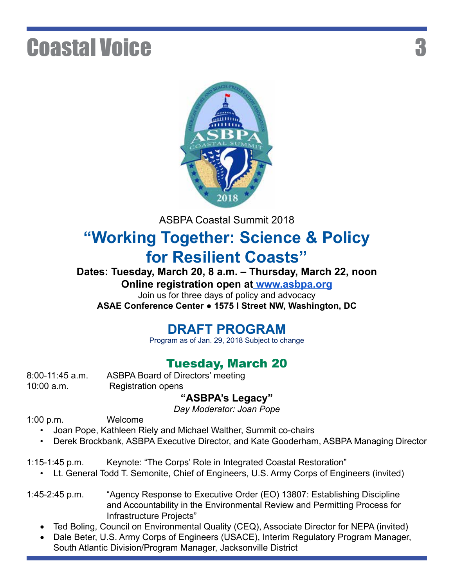

ASBPA Coastal Summit 2018

## **"Working Together: Science & Policy for Resilient Coasts"**

**Dates: Tuesday, March 20, 8 a.m. – Thursday, March 22, noon**

**Online registration open at www.asbpa.org**

Join us for three days of policy and advocacy

**ASAE Conference Center ● 1575 I Street NW, Washington, DC**

#### **DRAFT PROGRAM**

Program as of Jan. 29, 2018 Subject to change

### Tuesday, March 20

10:00 a.m. Registration opens

8:00-11:45 a.m. ASBPA Board of Directors' meeting

#### **"ASBPA's Legacy"**

*Day Moderator: Joan Pope*

1:00 p.m. Welcome

- Joan Pope, Kathleen Riely and Michael Walther, Summit co-chairs
- Derek Brockbank, ASBPA Executive Director, and Kate Gooderham, ASBPA Managing Director
- 1:15-1:45 p.m. Keynote: "The Corps' Role in Integrated Coastal Restoration"
	- Lt. General Todd T. Semonite, Chief of Engineers, U.S. Army Corps of Engineers (invited)
- 1:45-2:45 p.m. "Agency Response to Executive Order (EO) 13807: Establishing Discipline and Accountability in the Environmental Review and Permitting Process for Infrastructure Projects"
	- Ted Boling, Council on Environmental Quality (CEQ), Associate Director for NEPA (invited)
	- Dale Beter, U.S. Army Corps of Engineers (USACE), Interim Regulatory Program Manager, South Atlantic Division/Program Manager, Jacksonville District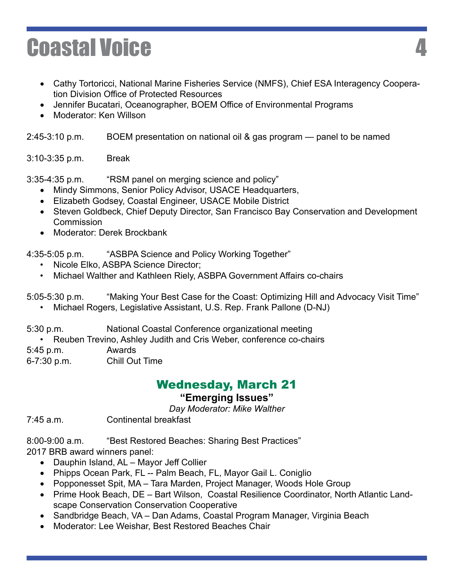- Cathy Tortoricci, National Marine Fisheries Service (NMFS), Chief ESA Interagency Cooperation Division Office of Protected Resources
- Jennifer Bucatari, Oceanographer, BOEM Office of Environmental Programs
- Moderator: Ken Willson

2:45-3:10 p.m. BOEM presentation on national oil & gas program — panel to be named

3:10-3:35 p.m. Break

3:35-4:35 p.m. "RSM panel on merging science and policy"

- Mindy Simmons, Senior Policy Advisor, USACE Headquarters,
- Elizabeth Godsey, Coastal Engineer, USACE Mobile District
- Steven Goldbeck, Chief Deputy Director, San Francisco Bay Conservation and Development **Commission**
- Moderator: Derek Brockbank

4:35-5:05 p.m. "ASBPA Science and Policy Working Together"

- Nicole Elko, ASBPA Science Director;
- Michael Walther and Kathleen Riely, ASBPA Government Affairs co-chairs

5:05-5:30 p.m. "Making Your Best Case for the Coast: Optimizing Hill and Advocacy Visit Time"

• Michael Rogers, Legislative Assistant, U.S. Rep. Frank Pallone (D-NJ)

5:30 p.m. National Coastal Conference organizational meeting

• Reuben Trevino, Ashley Judith and Cris Weber, conference co-chairs

5:45 p.m. Awards

6-7:30 p.m. Chill Out Time

## Wednesday, March 21

#### **"Emerging Issues"**

*Day Moderator: Mike Walther*

7:45 a.m. Continental breakfast

8:00-9:00 a.m. "Best Restored Beaches: Sharing Best Practices"

2017 BRB award winners panel:

- Dauphin Island, AL Mayor Jeff Collier
- Phipps Ocean Park, FL -- Palm Beach, FL, Mayor Gail L. Coniglio
- Popponesset Spit, MA Tara Marden, Project Manager, Woods Hole Group
- Prime Hook Beach, DE Bart Wilson, Coastal Resilience Coordinator, North Atlantic Landscape Conservation Conservation Cooperative
- Sandbridge Beach, VA Dan Adams, Coastal Program Manager, Virginia Beach
- Moderator: Lee Weishar, Best Restored Beaches Chair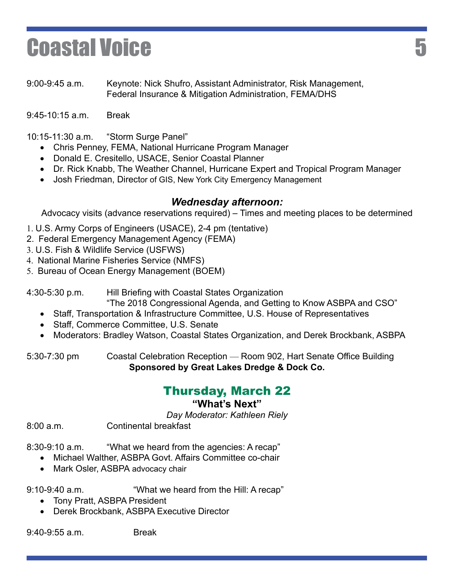9:00-9:45 a.m. Keynote: Nick Shufro, Assistant Administrator, Risk Management, Federal Insurance & Mitigation Administration, FEMA/DHS

9:45-10:15 a.m. Break

10:15-11:30 a.m. "Storm Surge Panel"

- Chris Penney, FEMA, National Hurricane Program Manager
- Donald E. Cresitello, USACE, Senior Coastal Planner
- Dr. Rick Knabb, The Weather Channel, Hurricane Expert and Tropical Program Manager
- Josh Friedman, Director of GIS, New York City Emergency Management

#### *Wednesday afternoon:*

Advocacy visits (advance reservations required) – Times and meeting places to be determined

1. U.S. Army Corps of Engineers (USACE), 2-4 pm (tentative)

- 2. Federal Emergency Management Agency (FEMA)
- 3. U.S. Fish & Wildlife Service (USFWS)
- 4. National Marine Fisheries Service (NMFS)
- 5. Bureau of Ocean Energy Management (BOEM)

4:30-5:30 p.m. Hill Briefing with Coastal States Organization

- "The 2018 Congressional Agenda, and Getting to Know ASBPA and CSO"
- Staff, Transportation & Infrastructure Committee, U.S. House of Representatives
- • Staff, Commerce Committee, U.S. Senate
- Moderators: Bradley Watson, Coastal States Organization, and Derek Brockbank, ASBPA

5:30-7:30 pm Coastal Celebration Reception — Room 902, Hart Senate Office Building **Sponsored by Great Lakes Dredge & Dock Co.**

#### Thursday, March 22

#### **"What's Next"**

*Day Moderator: Kathleen Riely*

8:00 a.m. Continental breakfast

8:30-9:10 a.m. "What we heard from the agencies: A recap"

• Michael Walther, ASBPA Govt, Affairs Committee co-chair

• Mark Osler, ASBPA advocacy chair

9:10-9:40 a.m. "What we heard from the Hill: A recap"

- Tony Pratt, ASBPA President
- Derek Brockbank, ASBPA Executive Director

9:40-9:55 a.m. Break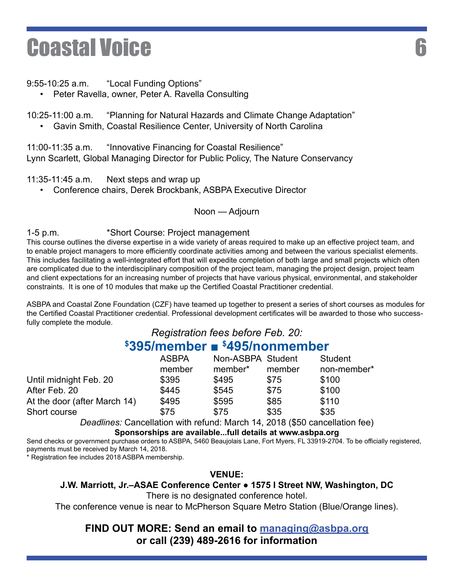9:55-10:25 a.m. "Local Funding Options"

• Peter Ravella, owner, Peter A. Ravella Consulting

10:25-11:00 a.m. "Planning for Natural Hazards and Climate Change Adaptation"

• Gavin Smith, Coastal Resilience Center, University of North Carolina

11:00-11:35 a.m. "Innovative Financing for Coastal Resilience" Lynn Scarlett, Global Managing Director for Public Policy, The Nature Conservancy

#### 11:35-11:45 a.m. Next steps and wrap up

• Conference chairs, Derek Brockbank, ASBPA Executive Director

#### Noon — Adjourn

1-5 p.m. \*Short Course: Project management

This course outlines the diverse expertise in a wide variety of areas required to make up an effective project team, and to enable project managers to more efficiently coordinate activities among and between the various specialist elements. This includes facilitating a well-integrated effort that will expedite completion of both large and small projects which often are complicated due to the interdisciplinary composition of the project team, managing the project design, project team and client expectations for an increasing number of projects that have various physical, environmental, and stakeholder constraints. It is one of 10 modules that make up the Certified Coastal Practitioner credential.

ASBPA and Coastal Zone Foundation (CZF) have teamed up together to present a series of short courses as modules for the Certified Coastal Practitioner credential. Professional development certificates will be awarded to those who successfully complete the module.

#### *Registration fees before Feb. 20:* **\$ 395/member ■ \$ 495/nonmember**

|                              | <b>ASBPA</b> | Non-ASBPA Student |        | Student     |
|------------------------------|--------------|-------------------|--------|-------------|
|                              | member       | member*           | member | non-member* |
| Until midnight Feb. 20       | \$395        | \$495             | \$75   | \$100       |
| After Feb. 20                | \$445        | \$545             | \$75   | \$100       |
| At the door (after March 14) | \$495        | \$595             | \$85   | \$110       |
| Short course                 | \$75         | \$75              | \$35   | \$35        |
|                              |              |                   |        |             |

*Deadlines:* Cancellation with refund: March 14, 2018 (\$50 cancellation fee) **Sponsorships are available...full details at www.asbpa.org**

Send checks or government purchase orders to ASBPA, 5460 Beaujolais Lane, Fort Myers, FL 33919-2704. To be officially registered, payments must be received by March 14, 2018.

\* Registration fee includes 2018 ASBPA membership.

**VENUE:**

#### **J.W. Marriott, Jr.–ASAE Conference Center ● 1575 I Street NW, Washington, DC**

There is no designated conference hotel.

The conference venue is near to McPherson Square Metro Station (Blue/Orange lines).

#### **FIND OUT MORE: Send an email to managing@asbpa.org or call (239) 489-2616 for information**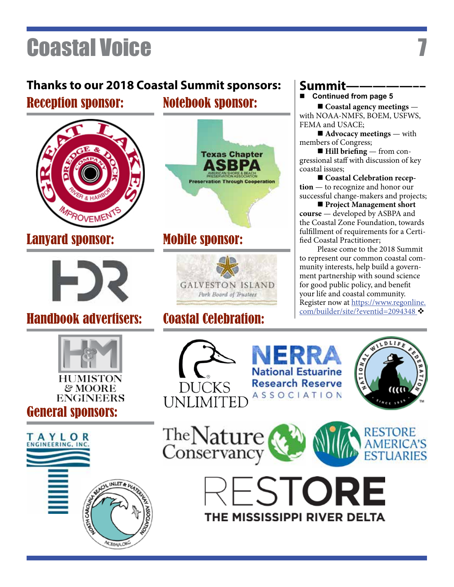## **Thanks to our 2018 Coastal Summit sponsors:**

### Reception sponsor:



### Lanyard sponsor:



### Handbook advertisers: Coastal Celebration:



# General sponsors:



## Notebook sponsor:



### Mobile sponsor:



### Summit-

■ Continued from page 5

**n** Coastal agency meetings with NOAA-NMFS, BOEM, USFWS, FEMA and USACE;

 $\blacksquare$  **Advocacy meetings** — with members of Congress;

■ **Hill briefing** — from congressional staff with discussion of key coastal issues;

■ Coastal Celebration recep**tion** — to recognize and honor our successful change-makers and projects;

**n** Project Management short **course** — developed by ASBPA and the Coastal Zone Foundation, towards fulfillment of requirements for a Certified Coastal Practitioner;

Please come to the 2018 Summit to represent our common coastal community interests, help build a government partnership with sound science for good public policy, and benefit your life and coastal community. Register now at https://www.regonline. com/builder/site/?eventid=2094348 ❖







ESTORI

THE MISSISSIPPI RIVER DELTA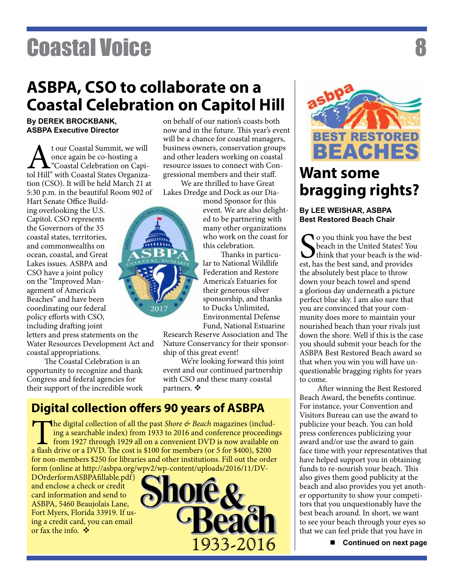## **ASBPA, CSO to collaborate on a Coastal Celebration on Capitol Hill**

#### **By DEREK BROCKBANK, ASBPA Executive Director**

At our Coastal Summit, we will<br>
once again be co-hosting a<br>
tol Hill" with Coastal States Organizaonce again be co-hosting a **L**"Coastal Celebration on Capition (CSO). It will be held March 21 at 5:30 p.m. in the beautiful Room 902 of

Hart Senate Office Building overlooking the U.S. Capitol. CSO represents the Governors of the 35 coastal states, territories, and commonwealths on ocean, coastal, and Great Lakes issues. ASBPA and CSO have a joint policy on the "Improved Management of America's Beaches" and have been coordinating our federal policy efforts with CSO, including drafting joint

letters and press statements on the Water Resources Development Act and coastal appropriations.

The Coastal Celebration is an opportunity to recognize and thank Congress and federal agencies for their support of the incredible work on behalf of our nation's coasts both now and in the future. This year's event will be a chance for coastal managers, business owners, conservation groups and other leaders working on coastal resource issues to connect with Congressional members and their staff.

We are thrilled to have Great Lakes Dredge and Dock as our Dia-

mond Sponsor for this event. We are also delighted to be partnering with many other organizations who work on the coast for this celebration.

Thanks in particular to National Wildlife Federation and Restore America's Estuaries for their generous silver sponsorship, and thanks to Ducks Unlimited, Environmental Defense Fund, National Estuarine

Research Reserve Association and The Nature Conservancy for their sponsorship of this great event!

We're looking forward this joint event and our continued partnership with CSO and these many coastal partners.  $\mathbf{\dot{v}}$ 

#### **Digital collection offers 90 years of ASBPA**

The digital collection of all the past *Shore & Beach* magazines (including a searchable index) from 1933 to 2016 and conference proceedings from 1927 through 1929 all on a convenient DVD is now available on a flash drive or a DVD. The cost is \$100 for members (or 5 for \$400), \$200 for non-members \$250 for libraries and other institutions. Fill out the order form (online at http://asbpa.org/wpv2/wp-content/uploads/2016/11/DV-

DOrderformASBPAfillable.pdf) and enclose a check or credit card information and send to ASBPA, 5460 Beaujolais Lane, Fort Myers, Florida 33919. If using a credit card, you can email or fax the info.  $\bullet$ 





## **Want some bragging rights?**

#### **By LEE WEISHAR, ASBPA Best Restored Beach Chair**

So you think you have the best<br>beach in the United States! You<br>think that your beach is the wirest, has the best sand, and provides **O** you think you have the best beach in the United States! You I think that your beach is the widthe absolutely best place to throw down your beach towel and spend a glorious day underneath a picture perfect blue sky. I am also sure that you are convinced that your community does more to maintain your nourished beach than your rivals just down the shore. Well if this is the case you should submit your beach for the ASBPA Best Restored Beach award so that when you win you will have unquestionable bragging rights for years to come.

After winning the Best Restored Beach Award, the benefits continue. For instance, your Convention and Visitors Bureau can use the award to publicize your beach. You can hold press conferences publicizing your award and/or use the award to gain face time with your representatives that have helped support you in obtaining funds to re-nourish your beach. This also gives them good publicity at the beach and also provides you yet another opportunity to show your competitors that you unquestionably have the best beach around. In short, we want to see your beach through your eyes so that we can feel pride that you have in

■ Continued on next page

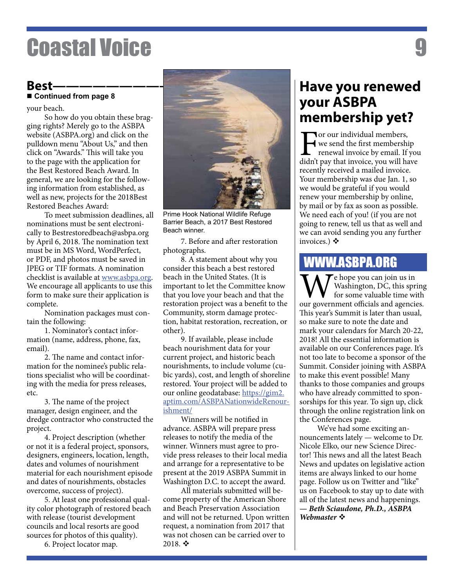#### **Best———————————–—————— Continued from page 8**

your beach.

So how do you obtain these bragging rights? Merely go to the ASBPA website (ASBPA.org) and click on the pulldown menu "About Us," and then click on "Awards." This will take you to the page with the application for the Best Restored Beach Award. In general, we are looking for the following information from established, as well as new, projects for the 2018Best Restored Beaches Award:

To meet submission deadlines, all nominations must be sent electronically to Bestrestoredbeach@asbpa.org by April 6, 2018. The nomination text must be in MS Word, WordPerfect, or PDF, and photos must be saved in JPEG or TIF formats. A nomination checklist is available at www.asbpa.org. We encourage all applicants to use this form to make sure their application is complete.

Nomination packages must contain the following:

1. Nominator's contact information (name, address, phone, fax, email).

2. The name and contact information for the nominee's public relations specialist who will be coordinating with the media for press releases, etc.

3. The name of the project manager, design engineer, and the dredge contractor who constructed the project.

4. Project description (whether or not it is a federal project, sponsors, designers, engineers, location, length, dates and volumes of nourishment material for each nourishment episode and dates of nourishments, obstacles overcome, success of project).

5. At least one professional quality color photograph of restored beach with release (tourist development councils and local resorts are good sources for photos of this quality).

6. Project locator map.



Prime Hook National Wildlife Refuge Barrier Beach, a 2017 Best Restored Beach winner.

7. Before and after restoration photographs.

8. A statement about why you consider this beach a best restored beach in the United States. (It is important to let the Committee know that you love your beach and that the restoration project was a benefit to the Community, storm damage protection, habitat restoration, recreation, or other).

9. If available, please include beach nourishment data for your current project, and historic beach nourishments, to include volume (cubic yards), cost, and length of shoreline restored. Your project will be added to our online geodatabase: https://gim2. aptim.com/ASBPANationwideRenourishment/

Winners will be notified in advance. ASBPA will prepare press releases to notify the media of the winner. Winners must agree to provide press releases to their local media and arrange for a representative to be present at the 2019 ASBPA Summit in Washington D.C. to accept the award.

All materials submitted will become property of the American Shore and Beach Preservation Association and will not be returned. Upon written request, a nomination from 2017 that was not chosen can be carried over to 2018. $\cdot$ 

### **Have you renewed your ASBPA membership yet?**

**Tor our individual members,** we send the first membership renewal invoice by email. If you didn't pay that invoice, you will have recently received a mailed invoice. Your membership was due Jan. 1, so we would be grateful if you would renew your membership by online, by mail or by fax as soon as possible. We need each of you! (if you are not going to renew, tell us that as well and we can avoid sending you any further invoices.)  $\diamond$ 

#### WWW.ASBPA.ORG

 $\mathbf{T}$ e hope you can join us in Washington, DC, this spring for some valuable time with our government officials and agencies. This year's Summit is later than usual, so make sure to note the date and mark your calendars for March 20-22, 2018! All the essential information is available on our Conferences page. It's not too late to become a sponsor of the Summit. Consider joining with ASBPA to make this event possible! Many thanks to those companies and groups who have already committed to sponsorships for this year. To sign up, click through the online registration link on the Conferences page.

We've had some exciting announcements lately — welcome to Dr. Nicole Elko, our new Science Director! This news and all the latest Beach News and updates on legislative action items are always linked to our home page. Follow us on Twitter and "like" us on Facebook to stay up to date with all of the latest news and happenings. *— Beth Sciaudone, Ph.D., ASBPA*  **Webmaster**  $\mathbf{\dot{v}}$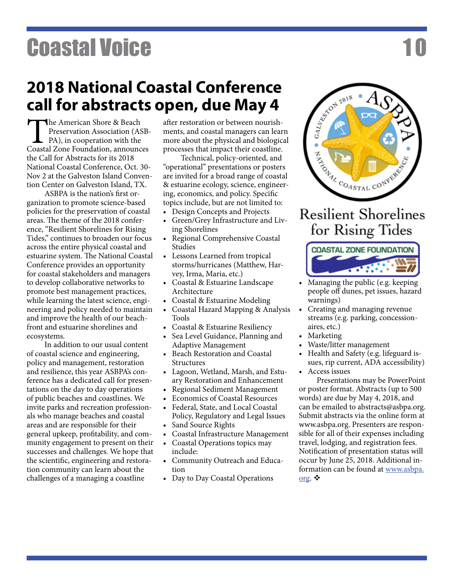## **2018 National Coastal Conference call for abstracts open, due May 4**

The American Shore & Beach<br>Preservation Association (ASB-<br>PA), in cooperation with the<br>Coastal Zone Foundation, announces Preservation Association (ASB-PA), in cooperation with the the Call for Abstracts for its 2018 National Coastal Conference, Oct. 30- Nov 2 at the Galveston Island Convention Center on Galveston Island, TX.

ASBPA is the nation's first organization to promote science-based policies for the preservation of coastal areas. The theme of the 2018 conference, "Resilient Shorelines for Rising Tides," continues to broaden our focus across the entire physical coastal and estuarine system. The National Coastal Conference provides an opportunity for coastal stakeholders and managers to develop collaborative networks to promote best management practices, while learning the latest science, engineering and policy needed to maintain and improve the health of our beachfront and estuarine shorelines and ecosystems.

In addition to our usual content of coastal science and engineering, policy and management, restoration and resilience, this year ASBPA's conference has a dedicated call for presentations on the day to day operations of public beaches and coastlines. We invite parks and recreation professionals who manage beaches and coastal areas and are responsible for their general upkeep, profitability, and community engagement to present on their successes and challenges. We hope that the scientific, engineering and restoration community can learn about the challenges of a managing a coastline

after restoration or between nourishments, and coastal managers can learn more about the physical and biological processes that impact their coastline.

Technical, policy-oriented, and "operational" presentations or posters are invited for a broad range of coastal & estuarine ecology, science, engineering, economics, and policy. Specific topics include, but are not limited to:

- Design Concepts and Projects
- • Green/Grey Infrastructure and Living Shorelines
- • Regional Comprehensive Coastal Studies
- • Lessons Learned from tropical storms/hurricanes (Matthew, Harvey, Irma, Maria, etc.)
- • Coastal & Estuarine Landscape Architecture
- Coastal & Estuarine Modeling
- • Coastal Hazard Mapping & Analysis Tools
- • Coastal & Estuarine Resiliency
- Sea Level Guidance, Planning and Adaptive Management
- • Beach Restoration and Coastal Structures
- • Lagoon, Wetland, Marsh, and Estuary Restoration and Enhancement
- Regional Sediment Management
- **Economics of Coastal Resources**
- Federal, State, and Local Coastal Policy, Regulatory and Legal Issues
- • Sand Source Rights
- Coastal Infrastructure Management
- Coastal Operations topics may include:
- • Community Outreach and Education
- Day to Day Coastal Operations

# ZAN COASTAL CONTRACT **Resilient Shorelines** for Rising Tides

CALINE CON 2018



- • Managing the public (e.g. keeping people off dunes, pet issues, hazard warnings)
- • Creating and managing revenue streams (e.g. parking, concessionaires, etc.)
- **Marketing**
- Waste/litter management
- Health and Safety (e.g. lifeguard issues, rip current, ADA accessibility)
- Access issues

Presentations may be PowerPoint or poster format. Abstracts (up to 500 words) are due by May 4, 2018, and can be emailed to abstracts@asbpa.org. Submit abstracts via the online form at www.asbpa.org. Presenters are responsible for all of their expenses including travel, lodging, and registration fees. Notification of presentation status will occur by June 25, 2018. Additional information can be found at www.asbpa. org.  $\bullet$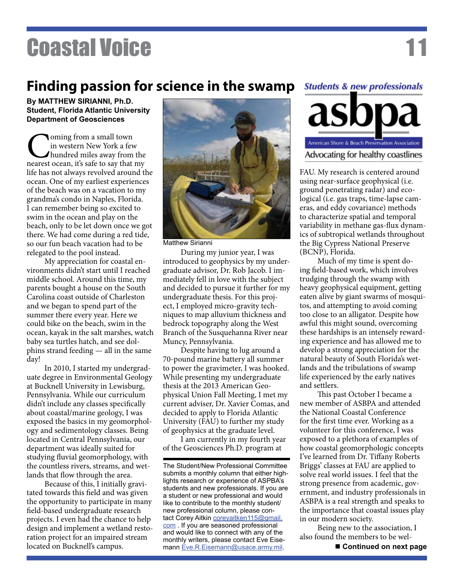### **Finding passion for science in the swamp**

**By MATTHEW SIRIANNI, Ph.D. Student, Florida Atlantic University Department of Geosciences**

Coming from a small town<br>in western New York a few<br>hundred miles away from the<br>nearest ocean, it's safe to say that my in western New York a few hundred miles away from the life has not always revolved around the ocean. One of my earliest experiences of the beach was on a vacation to my grandma's condo in Naples, Florida. I can remember being so excited to swim in the ocean and play on the beach, only to be let down once we got there. We had come during a red tide, so our fun beach vacation had to be relegated to the pool instead.

My appreciation for coastal environments didn't start until I reached middle school. Around this time, my parents bought a house on the South Carolina coast outside of Charleston and we began to spend part of the summer there every year. Here we could bike on the beach, swim in the ocean, kayak in the salt marshes, watch baby sea turtles hatch, and see dolphins strand feeding — all in the same day!

In 2010, I started my undergraduate degree in Environmental Geology at Bucknell University in Lewisburg, Pennsylvania. While our curriculum didn't include any classes specifically about coastal/marine geology, I was exposed the basics in my geomorphology and sedimentology classes. Being located in Central Pennsylvania, our department was ideally suited for studying fluvial geomorphology, with the countless rivers, streams, and wetlands that flow through the area.

Because of this, I initially gravitated towards this field and was given the opportunity to participate in many field-based undergraduate research projects. I even had the chance to help design and implement a wetland restoration project for an impaired stream located on Bucknell's campus.



Matthew Sirianni

During my junior year, I was introduced to geophysics by my undergraduate advisor, Dr. Rob Jacob. I immediately fell in love with the subject and decided to pursue it further for my undergraduate thesis. For this project, I employed micro-gravity techniques to map alluvium thickness and bedrock topography along the West Branch of the Susquehanna River near Muncy, Pennsylvania.

Despite having to lug around a 70-pound marine battery all summer to power the gravimeter, I was hooked. While presenting my undergraduate thesis at the 2013 American Geophysical Union Fall Meeting, I met my current adviser, Dr. Xavier Comas, and decided to apply to Florida Atlantic University (FAU) to further my study of geophysics at the graduate level.

I am currently in my fourth year of the Geosciences Ph.D. program at

The Student/New Professional Committee submits a monthly column that either highlights research or experience of ASPBA's students and new professionals. If you are a student or new professional and would like to contribute to the monthly student/ new professional column, please contact Corey Aitkin coreyaitken115@gmail. com . If you are seasoned professional and would like to connect with any of the monthly writers, please contact Eve Eisemann Eve.R.Eisemann@usace.army.mil.

## **Students & new professionals** American Shore & Beach Preservation Association Advocating for healthy coastlines

FAU. My research is centered around using near-surface geophysical (i.e. ground penetrating radar) and ecological (i.e. gas traps, time-lapse cameras, and eddy covariance) methods to characterize spatial and temporal variability in methane gas-flux dynamics of subtropical wetlands throughout the Big Cypress National Preserve (BCNP), Florida.

Much of my time is spent doing field-based work, which involves trudging through the swamp with heavy geophysical equipment, getting eaten alive by giant swarms of mosquitos, and attempting to avoid coming too close to an alligator. Despite how awful this might sound, overcoming these hardships is an intensely rewarding experience and has allowed me to develop a strong appreciation for the natural beauty of South Florida's wetlands and the tribulations of swamp life experienced by the early natives and settlers.

This past October I became a new member of ASBPA and attended the National Coastal Conference for the first time ever. Working as a volunteer for this conference, I was exposed to a plethora of examples of how coastal geomorphologic concepts I've learned from Dr. Tiffany Roberts Briggs' classes at FAU are applied to solve real world issues. I feel that the strong presence from academic, government, and industry professionals in ASBPA is a real strength and speaks to the importance that coastal issues play in our modern society.

Being new to the association, I also found the members to be wel-

**Continued on next page**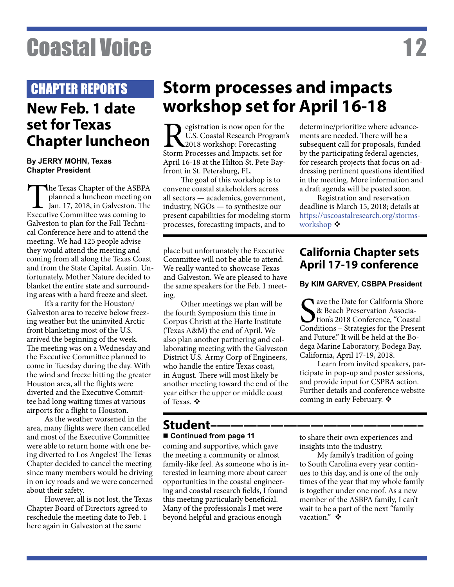#### CHAPTER REPORTS

### **New Feb. 1 date set for Texas Chapter luncheon**

#### **By JERRY MOHN, Texas Chapter President**

The Texas Chapter of the ASBPA<br>planned a luncheon meeting on<br>Jan. 17, 2018, in Galveston. The<br>Executive Committee was coming to planned a luncheon meeting on Jan. 17, 2018, in Galveston. The Executive Committee was coming to Galveston to plan for the Fall Technical Conference here and to attend the meeting. We had 125 people advise they would attend the meeting and coming from all along the Texas Coast and from the State Capital, Austin. Unfortunately, Mother Nature decided to blanket the entire state and surrounding areas with a hard freeze and sleet.

It's a rarity for the Houston/ Galveston area to receive below freezing weather but the uninvited Arctic front blanketing most of the U.S. arrived the beginning of the week. The meeting was on a Wednesday and the Executive Committee planned to come in Tuesday during the day. With the wind and freeze hitting the greater Houston area, all the flights were diverted and the Executive Committee had long waiting times at various airports for a flight to Houston.

As the weather worsened in the area, many flights were then cancelled and most of the Executive Committee were able to return home with one being diverted to Los Angeles! The Texas Chapter decided to cancel the meeting since many members would be driving in on icy roads and we were concerned about their safety.

However, all is not lost, the Texas Chapter Board of Directors agreed to reschedule the meeting date to Feb. 1 here again in Galveston at the same

## **Storm processes and impacts workshop set for April 16-18**

**Registration is now open for the U.S. Coastal Research Program**<br>Storm Processes and Impacts. set for U.S. Coastal Research Program's 2018 workshop: Forecasting Storm Processes and Impacts. set for April 16-18 at the Hilton St. Pete Bayfrront in St. Petersburg, FL.

The goal of this workshop is to convene coastal stakeholders across all sectors — academics, government, industry, NGOs — to synthesize our present capabilities for modeling storm processes, forecasting impacts, and to

place but unfortunately the Executive Committee will not be able to attend. We really wanted to showcase Texas and Galveston. We are pleased to have the same speakers for the Feb. 1 meeting.

Other meetings we plan will be the fourth Symposium this time in Corpus Christi at the Harte Institute (Texas A&M) the end of April. We also plan another partnering and collaborating meeting with the Galveston District U.S. Army Corp of Engineers, who handle the entire Texas coast, in August. There will most likely be another meeting toward the end of the year either the upper or middle coast of Texas.  $\mathbf{\hat{v}}$ 

#### Student–<del>—</del>-**Continued from page 11**

coming and supportive, which gave the meeting a community or almost family-like feel. As someone who is interested in learning more about career opportunities in the coastal engineering and coastal research fields, I found this meeting particularly beneficial. Many of the professionals I met were beyond helpful and gracious enough

to share their own experiences and insights into the industry.

My family's tradition of going to South Carolina every year continues to this day, and is one of the only times of the year that my whole family is together under one roof. As a new member of the ASBPA family, I can't wait to be a part of the next "family vacation."

#### **California Chapter sets April 17-19 conference**

#### **By KIM GARVEY, CSBPA President**

S<sub>conc</sub> Tave the Date for California Shore & Beach Preservation Association's 2018 Conference, "Coastal Conditions – Strategies for the Present and Future." It will be held at the Bodega Marine Laboratory, Bodega Bay, California, April 17-19, 2018.

Learn from invited speakers, participate in pop-up and poster sessions, and provide input for CSPBA action. Further details and conference website coming in early February.  $\mathbf{\hat{*}}$ 

ments are needed. There will be a subsequent call for proposals, funded by the participating federal agencies, for research projects that focus on addressing pertinent questions identified in the meeting. More information and a draft agenda will be posted soon. Registration and reservation

determine/prioritize where advance-

deadline is March 15, 2018; details at https://uscoastalresearch.org/stormsworkshop  $\bullet$